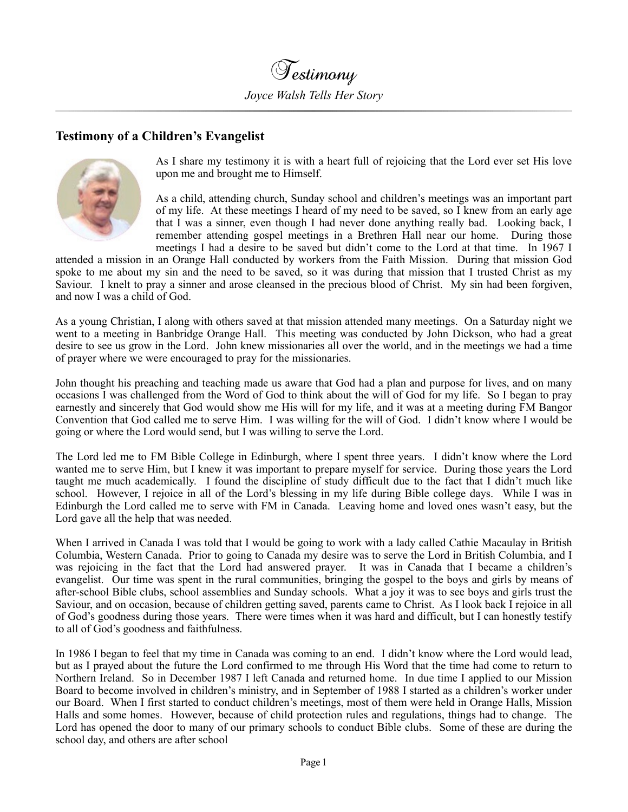

## **Testimony of a Children's Evangelist**



As I share my testimony it is with a heart full of rejoicing that the Lord ever set His love upon me and brought me to Himself.

As a child, attending church, Sunday school and children's meetings was an important part of my life. At these meetings I heard of my need to be saved, so I knew from an early age that I was a sinner, even though I had never done anything really bad. Looking back, I remember attending gospel meetings in a Brethren Hall near our home. During those meetings I had a desire to be saved but didn't come to the Lord at that time. In 1967 I

attended a mission in an Orange Hall conducted by workers from the Faith Mission. During that mission God spoke to me about my sin and the need to be saved, so it was during that mission that I trusted Christ as my Saviour. I knelt to pray a sinner and arose cleansed in the precious blood of Christ. My sin had been forgiven, and now I was a child of God.

As a young Christian, I along with others saved at that mission attended many meetings. On a Saturday night we went to a meeting in Banbridge Orange Hall. This meeting was conducted by John Dickson, who had a great desire to see us grow in the Lord. John knew missionaries all over the world, and in the meetings we had a time of prayer where we were encouraged to pray for the missionaries.

John thought his preaching and teaching made us aware that God had a plan and purpose for lives, and on many occasions I was challenged from the Word of God to think about the will of God for my life. So I began to pray earnestly and sincerely that God would show me His will for my life, and it was at a meeting during FM Bangor Convention that God called me to serve Him. I was willing for the will of God. I didn't know where I would be going or where the Lord would send, but I was willing to serve the Lord.

The Lord led me to FM Bible College in Edinburgh, where I spent three years. I didn't know where the Lord wanted me to serve Him, but I knew it was important to prepare myself for service. During those years the Lord taught me much academically. I found the discipline of study difficult due to the fact that I didn't much like school. However, I rejoice in all of the Lord's blessing in my life during Bible college days. While I was in Edinburgh the Lord called me to serve with FM in Canada. Leaving home and loved ones wasn't easy, but the Lord gave all the help that was needed.

When I arrived in Canada I was told that I would be going to work with a lady called Cathie Macaulay in British Columbia, Western Canada. Prior to going to Canada my desire was to serve the Lord in British Columbia, and I was rejoicing in the fact that the Lord had answered prayer. It was in Canada that I became a children's evangelist. Our time was spent in the rural communities, bringing the gospel to the boys and girls by means of after-school Bible clubs, school assemblies and Sunday schools. What a joy it was to see boys and girls trust the Saviour, and on occasion, because of children getting saved, parents came to Christ. As I look back I rejoice in all of God's goodness during those years. There were times when it was hard and difficult, but I can honestly testify to all of God's goodness and faithfulness.

In 1986 I began to feel that my time in Canada was coming to an end. I didn't know where the Lord would lead, but as I prayed about the future the Lord confirmed to me through His Word that the time had come to return to Northern Ireland. So in December 1987 I left Canada and returned home. In due time I applied to our Mission Board to become involved in children's ministry, and in September of 1988 I started as a children's worker under our Board. When I first started to conduct children's meetings, most of them were held in Orange Halls, Mission Halls and some homes. However, because of child protection rules and regulations, things had to change. The Lord has opened the door to many of our primary schools to conduct Bible clubs. Some of these are during the school day, and others are after school